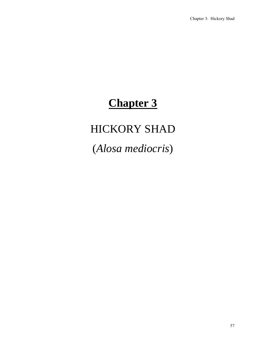# **Chapter 3**

# HICKORY SHAD

(*Alosa mediocris*)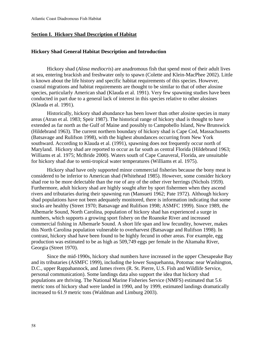## **Section I. Hickory Shad Description of Habitat**

#### **Hickory Shad General Habitat Description and Introduction**

 Hickory shad (*Alosa mediocris*) are anadromous fish that spend most of their adult lives at sea, entering brackish and freshwater only to spawn (Colette and Klein-MacPhee 2002). Little is known about the life history and specific habitat requirements of this species. However, coastal migrations and habitat requirements are thought to be similar to that of other alosine species, particularly American shad (Klauda et al. 1991). Very few spawning studies have been conducted in part due to a general lack of interest in this species relative to other alosines (Klauda et al. 1991).

Historically, hickory shad abundance has been lower than other alosine species in many areas (Atran et al. 1983; Speir 1987). The historical range of hickory shad is thought to have extended as far north as the Gulf of Maine and possibly to Campobello Island, New Brunswick (Hildebrand 1963). The current northern boundary of hickory shad is Cape Cod, Massachusetts (Batsavage and Rulifson 1998), with the highest abundances occurring from New York southward. According to Klauda et al. (1991), spawning does not frequently occur north of Maryland. Hickory shad are reported to occur as far south as central Florida (Hildebrand 1963; Williams et al. 1975; McBride 2000). Waters south of Cape Canaveral, Florida, are unsuitable for hickory shad due to semi-tropical water temperatures (Williams et al. 1975).

 Hickory shad have only supported minor commercial fisheries because the bony meat is considered to be inferior to American shad (Whitehead 1985). However, some consider hickory shad roe to be more delectable than the roe of any of the other river herrings (Nichols 1959). Furthermore, adult hickory shad are highly sought after by sport fishermen when they ascend rivers and tributaries during their spawning run (Mansueti 1962; Pate 1972). Although hickory shad populations have not been adequately monitored, there is information indicating that some stocks are healthy (Street 1970; Batsavage and Rulifson 1998; ASMFC 1999). Since 1989, the Albemarle Sound, North Carolina, population of hickory shad has experienced a surge in numbers, which supports a growing sport fishery on the Roanoke River and increased commercial fishing in Albemarle Sound. A short life span and low fecundity, however, makes this North Carolina population vulnerable to overharvest (Batsavage and Rulifson 1998). In contrast, hickory shad have been found to be highly fecund in other areas. For example, egg production was estimated to be as high as 509,749 eggs per female in the Altamaha River, Georgia (Street 1970).

 Since the mid-1990s, hickory shad numbers have increased in the upper Chesapeake Bay and its tributaries (ASMFC 1999), including the lower Susquehanna, Potomac near Washington, D.C., upper Rappahannock, and James rivers (R. St. Pierre, U.S. Fish and Wildlife Service, personal communication). Some landings data also support the idea that hickory shad populations are thriving. The National Marine Fisheries Service (NMFS) estimated that 5.6 metric tons of hickory shad were landed in 1990, and by 1999, estimated landings dramatically increased to 61.9 metric tons (Waldman and Limburg 2003).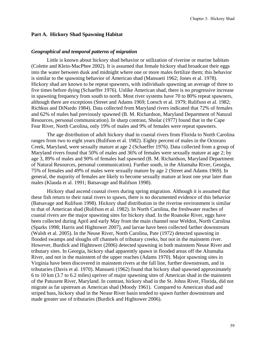## **Part A. Hickory Shad Spawning Habitat**

#### *Geographical and temporal patterns of migration*

Little is known about hickory shad behavior or utilization of riverine or marine habitats (Colette and Klein-MacPhee 2002). It is assumed that female hickory shad broadcast their eggs into the water between dusk and midnight where one or more males fertilize them; this behavior is similar to the spawning behavior of American shad (Mansueti 1962; Jones et al. 1978). Hickory shad are known to be repeat spawners, with individuals spawning an average of three to five times before dying (Schaeffer 1976). Unlike American shad, there is no progressive increase in spawning frequency from south to north. Most river systems have 70 to 80% repeat spawners, although there are exceptions (Street and Adams 1969; Loesch et al. 1979; Rulifson et al. 1982; Richkus and DiNardo 1984). Data collected from Maryland rivers indicated that 72% of females and 62% of males had previously spawned (B. M. Richardson, Maryland Department of Natural Resources, personal communication). In sharp contrast, Sholar (1977) found that in the Cape Fear River, North Carolina, only 19% of males and 9% of females were repeat spawners.

The age distribution of adult hickory shad in coastal rivers from Florida to North Carolina ranges from two to eight years (Rulifson et al. 1982). Eighty percent of males in the Octoraro Creek, Maryland, were sexually mature at age 2 (Schaeffer 1976). Data collected from a group of Maryland rivers found that 50% of males and 36% of females were sexually mature at age 2; by age 3, 89% of males and 90% of females had spawned (B. M. Richardson, Maryland Department of Natural Resources, personal communication). Further south, in the Altamaha River, Georgia, 75% of females and 49% of males were sexually mature by age 2 (Street and Adams 1969). In general, the majority of females are likely to become sexually mature at least one year later than males (Klauda et al. 1991; Batsavage and Rulifson 1998).

Hickory shad ascend coastal rivers during spring migration. Although it is assumed that these fish return to their natal rivers to spawn, there is no documented evidence of this behavior (Batsavage and Rulifson 1998). Hickory shad distribution in the riverine environment is similar to that of American shad (Rulifson et al. 1982). In North Carolina, the freshwater reaches of coastal rivers are the major spawning sites for hickory shad. In the Roanoke River, eggs have been collected during April and early May from the main channel near Weldon, North Carolina (Sparks 1998; Harris and Hightower 2007), and larvae have been collected farther downstream (Walsh et al. 2005). In the Neuse River, North Carolina, Pate (1972) detected spawning in flooded swamps and sloughs off channels of tributary creeks, but not in the mainstem river. However, Burdick and Hightower (2006) detected spawning in both mainstem Neuse River and tributary sites. In Georgia, hickory shad apparently spawn in flooded areas off the Altamaha River, and not in the mainstem of the upper reaches (Adams 1970). Major spawning sites in Virginia have been discovered in mainstem rivers at the fall line, further downstream, and in tributaries (Davis et al. 1970). Mansueti (1962) found that hickory shad spawned approximately 6 to 10 km (3.7 to 6.2 miles) upriver of major spawning sites of American shad in the mainstem of the Patuxent River, Maryland. In contrast, hickory shad in the St. Johns River, Florida, did not migrate as far upstream as American shad (Moody 1961). Compared to American shad and striped bass, hickory shad in the Neuse River basin tended to spawn further downstream and made greater use of tributaries (Burdick and Hightower 2006).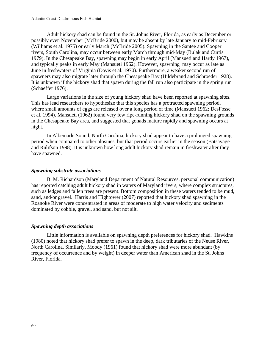Adult hickory shad can be found in the St. Johns River, Florida, as early as December or possibly even November (McBride 2000), but may be absent by late January to mid-February (Williams et al. 1975) or early March (McBride 2005). Spawning in the Santee and Cooper rivers, South Carolina, may occur between early March through mid-May (Bulak and Curtis 1979). In the Chesapeake Bay, spawning may begin in early April (Mansueti and Hardy 1967), and typically peaks in early May (Mansueti 1962). However, spawning may occur as late as June in freshwaters of Virginia (Davis et al. 1970). Furthermore, a weaker second run of spawners may also migrate later through the Chesapeake Bay (Hildebrand and Schroeder 1928). It is unknown if the hickory shad that spawn during the fall run also participate in the spring run (Schaeffer 1976).

Large variations in the size of young hickory shad have been reported at spawning sites. This has lead researchers to hypothesize that this species has a protracted spawning period, where small amounts of eggs are released over a long period of time (Mansueti 1962; DesFosse et al. 1994). Mansueti (1962) found very few ripe-running hickory shad on the spawning grounds in the Chesapeake Bay area, and suggested that gonads mature rapidly and spawning occurs at night.

In Albemarle Sound, North Carolina, hickory shad appear to have a prolonged spawning period when compared to other alosines, but that period occurs earlier in the season (Batsavage and Rulifson 1998). It is unknown how long adult hickory shad remain in freshwater after they have spawned.

## *Spawning substrate associations*

B. M. Richardson (Maryland Department of Natural Resources, personal communication) has reported catching adult hickory shad in waters of Maryland rivers, where complex structures, such as ledges and fallen trees are present. Bottom composition in these waters tended to be mud, sand, and/or gravel. Harris and Hightower (2007) reported that hickory shad spawning in the Roanoke River were concentrated in areas of moderate to high water velocity and sediments dominated by cobble, gravel, and sand, but not silt.

## *Spawning depth associations*

Little information is available on spawning depth preferences for hickory shad. Hawkins (1980) noted that hickory shad prefer to spawn in the deep, dark tributaries of the Neuse River, North Carolina. Similarly, Moody (1961) found that hickory shad were more abundant (by frequency of occurrence and by weight) in deeper water than American shad in the St. Johns River, Florida.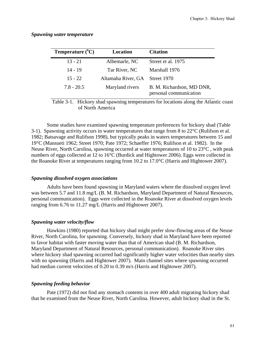| Temperature $(^{\circ}C)$ | Location           | <b>Citation</b>                                     |
|---------------------------|--------------------|-----------------------------------------------------|
| $13 - 21$                 | Albemarle, NC      | Street et al. 1975                                  |
| 14 - 19                   | Tar River, NC      | Marshall 1976                                       |
| $15 - 22$                 | Altamaha River, GA | Street 1970                                         |
| $7.8 - 20.5$              | Maryland rivers    | B. M. Richardson, MD DNR,<br>personal communication |

*Spawning water temperature* 

Table 3-1. Hickory shad spawning temperatures for locations along the Atlantic coast of North America

Some studies have examined spawning temperature preferences for hickory shad (Table 3-1). Spawning activity occurs in water temperatures that range from 8 to  $22^{\circ}C$  (Rulifson et al. 1982; Batsavage and Rulifson 1998), but typically peaks in waters temperatures between 15 and 19°C (Mansueti 1962; Street 1970; Pate 1972; Schaeffer 1976; Rulifson et al. 1982). In the Neuse River, North Carolina, spawning occurred at water temperatures of 10 to 23°C , with peak numbers of eggs collected at 12 to 16°C (Burdick and Hightower 2006). Eggs were collected in the Roanoke River at temperatures ranging from 10.2 to 17.0°C (Harris and Hightower 2007).

#### *Spawning dissolved oxygen associations*

Adults have been found spawning in Maryland waters where the dissolved oxygen level was between 5.7 and 11.8 mg/L (B. M. Richardson, Maryland Department of Natural Resources, personal communication). Eggs were collected in the Roanoke River at dissolved oxygen levels ranging from 6.76 to 11.27 mg/L (Harris and Hightower 2007).

## *Spawning water velocity/flow*

Hawkins (1980) reported that hickory shad might prefer slow-flowing areas of the Neuse River, North Carolina, for spawning. Conversely, hickory shad in Maryland have been reported to favor habitat with faster moving water than that of American shad (B. M. Richardson, Maryland Department of Natural Resources, personal communication). Roanoke River sites where hickory shad spawning occurred had significantly higher water velocities than nearby sites with no spawning (Harris and Hightower 2007). Main channel sites where spawning occurred had median current velocities of 0.20 to 0.39 m/s (Harris and Hightower 2007).

## *Spawning feeding behavior*

Pate (1972) did not find any stomach contents in over 400 adult migrating hickory shad that he examined from the Neuse River, North Carolina. However, adult hickory shad in the St.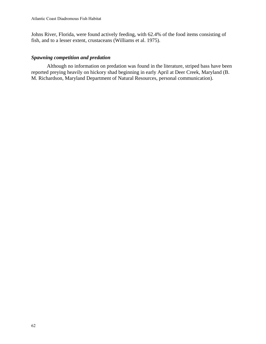Johns River, Florida, were found actively feeding, with 62.4% of the food items consisting of fish, and to a lesser extent, crustaceans (Williams et al. 1975).

# *Spawning competition and predation*

Although no information on predation was found in the literature, striped bass have been reported preying heavily on hickory shad beginning in early April at Deer Creek, Maryland (B. M. Richardson, Maryland Department of Natural Resources, personal communication).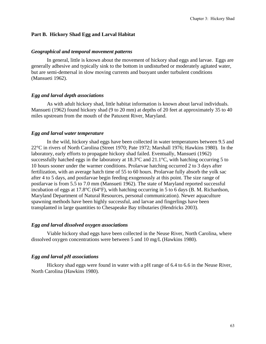### **Part B. Hickory Shad Egg and Larval Habitat**

#### *Geographical and temporal movement patterns*

In general, little is known about the movement of hickory shad eggs and larvae. Eggs are generally adhesive and typically sink to the bottom in undisturbed or moderately agitated water, but are semi-demersal in slow moving currents and buoyant under turbulent conditions (Mansueti 1962).

#### *Egg and larval depth associations*

As with adult hickory shad, little habitat information is known about larval individuals. Mansueti (1962) found hickory shad (9 to 20 mm) at depths of 20 feet at approximately 35 to 40 miles upstream from the mouth of the Patuxent River, Maryland.

#### *Egg and larval water temperature*

In the wild, hickory shad eggs have been collected in water temperatures between 9.5 and 22°C in rivers of North Carolina (Street 1970; Pate 1972; Marshall 1976; Hawkins 1980). In the laboratory, early efforts to propagate hickory shad failed. Eventually, Mansueti (1962) successfully hatched eggs in the laboratory at  $18.3^{\circ}$ C and  $21.1^{\circ}$ C, with hatching occurring 5 to 10 hours sooner under the warmer conditions. Prolarvae hatching occurred 2 to 3 days after fertilization, with an average hatch time of 55 to 60 hours. Prolarvae fully absorb the yolk sac after 4 to 5 days, and postlarvae begin feeding exogenously at this point. The size range of postlarvae is from 5.5 to 7.0 mm (Mansueti 1962). The state of Maryland reported successful incubation of eggs at 17.8°C (64°F), with hatching occurring in 5 to 6 days (B. M. Richardson, Maryland Department of Natural Resources, personal communication). Newer aquaculture spawning methods have been highly successful, and larvae and fingerlings have been transplanted in large quantities to Chesapeake Bay tributaries (Hendricks 2003).

#### *Egg and larval dissolved oxygen associations*

Viable hickory shad eggs have been collected in the Neuse River, North Carolina, where dissolved oxygen concentrations were between 5 and 10 mg/L (Hawkins 1980).

#### *Egg and larval pH associations*

Hickory shad eggs were found in water with a pH range of 6.4 to 6.6 in the Neuse River, North Carolina (Hawkins 1980).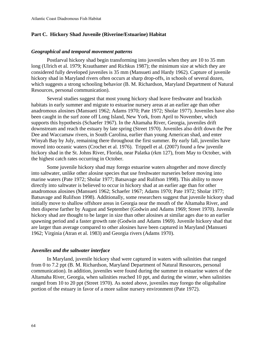## **Part C. Hickory Shad Juvenile (Riverine/Estuarine) Habitat**

#### *Geographical and temporal movement patterns*

Postlarval hickory shad begin transforming into juveniles when they are 10 to 35 mm long (Ulrich et al. 1979; Krauthamer and Richkus 1987); the minimum size at which they are considered fully developed juveniles is 35 mm (Mansueti and Hardy 1962). Capture of juvenile hickory shad in Maryland rivers often occurs at sharp drop-offs, in schools of several dozen, which suggests a strong schooling behavior (B. M. Richardson, Maryland Department of Natural Resources, personal communication).

Several studies suggest that most young hickory shad leave freshwater and brackish habitats in early summer and migrate to estuarine nursery areas at an earlier age than other anadromous alosines (Mansueti 1962; Adams 1970; Pate 1972; Sholar 1977). Juveniles have also been caught in the surf zone off Long Island, New York, from April to November, which supports this hypothesis (Schaefer 1967). In the Altamaha River, Georgia, juveniles drift downstream and reach the estuary by late spring (Street 1970). Juveniles also drift down the Pee Dee and Waccamaw rivers, in South Carolina, earlier than young American shad, and enter Winyah Bay by July, remaining there throughout the first summer. By early fall, juveniles have moved into oceanic waters (Crochet et al. 1976). Trippell et al. (2007) found a few juvenile hickory shad in the St. Johns River, Florida, near Palatka (rkm 127), from May to October, with the highest catch rates occurring in October.

Some juvenile hickory shad may forego estuarine waters altogether and move directly into saltwater, unlike other alosine species that use freshwater nurseries before moving into marine waters (Pate 1972; Sholar 1977; Batsavage and Rulifson 1998). This ability to move directly into saltwater is believed to occur in hickory shad at an earlier age than for other anadromous alosines (Mansueti 1962; Schaefer 1967; Adams 1970; Pate 1972; Sholar 1977; Batsavage and Rulifson 1998). Additionally, some researchers suggest that juvenile hickory shad initially move to shallow offshore areas in Georgia near the mouth of the Altamaha River, and then disperse farther by August and September (Godwin and Adams 1969; Street 1970). Juvenile hickory shad are thought to be larger in size than other alosines at similar ages due to an earlier spawning period and a faster growth rate (Godwin and Adams 1969). Juvenile hickory shad that are larger than average compared to other alosines have been captured in Maryland (Mansueti 1962; Virginia (Atran et al. 1983) and Georgia rivers (Adams 1970).

#### *Juveniles and the saltwater interface*

In Maryland, juvenile hickory shad were captured in waters with salinities that ranged from 0 to 7.2 ppt (B. M. Richardson, Maryland Department of Natural Resources, personal communication). In addition, juveniles were found during the summer in estuarine waters of the Altamaha River, Georgia, when salinities reached 10 ppt, and during the winter, when salinities ranged from 10 to 20 ppt (Street 1970). As noted above, juveniles may forego the oligohaline portion of the estuary in favor of a more saline nursery environment (Pate 1972).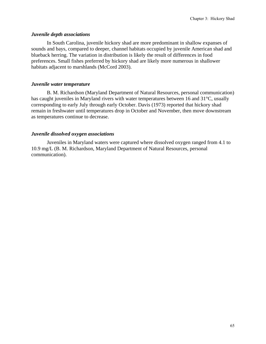## *Juvenile depth associations*

In South Carolina, juvenile hickory shad are more predominant in shallow expanses of sounds and bays, compared to deeper, channel habitats occupied by juvenile American shad and blueback herring. The variation in distribution is likely the result of differences in food preferences. Small fishes preferred by hickory shad are likely more numerous in shallower habitats adjacent to marshlands (McCord 2003).

## *Juvenile water temperature*

B. M. Richardson (Maryland Department of Natural Resources, personal communication) has caught juveniles in Maryland rivers with water temperatures between 16 and 31°C, usually corresponding to early July through early October. Davis (1973) reported that hickory shad remain in freshwater until temperatures drop in October and November, then move downstream as temperatures continue to decrease.

## *Juvenile dissolved oxygen associations*

Juveniles in Maryland waters were captured where dissolved oxygen ranged from 4.1 to 10.9 mg/L (B. M. Richardson, Maryland Department of Natural Resources, personal communication).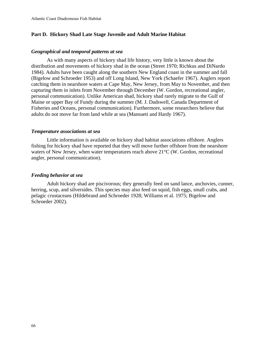## **Part D. Hickory Shad Late Stage Juvenile and Adult Marine Habitat**

## *Geographical and temporal patterns at sea*

As with many aspects of hickory shad life history, very little is known about the distribution and movements of hickory shad in the ocean (Street 1970; Richkus and DiNardo 1984). Adults have been caught along the southern New England coast in the summer and fall (Bigelow and Schroeder 1953) and off Long Island, New York (Schaefer 1967). Anglers report catching them in nearshore waters at Cape May, New Jersey, from May to November, and then capturing them in inlets from November through December (W. Gordon, recreational angler, personal communication). Unlike American shad, hickory shad rarely migrate to the Gulf of Maine or upper Bay of Fundy during the summer (M. J. Dadswell, Canada Department of Fisheries and Oceans, personal communication). Furthermore, some researchers believe that adults do not move far from land while at sea (Mansueti and Hardy 1967).

## *Temperature associations at sea*

Little information is available on hickory shad habitat associations offshore. Anglers fishing for hickory shad have reported that they will move further offshore from the nearshore waters of New Jersey, when water temperatures reach above 21<sup>o</sup>C (W. Gordon, recreational angler, personal communication).

## *Feeding behavior at sea*

Adult hickory shad are piscivorous; they generally feed on sand lance, anchovies, cunner, herring, scup, and silversides. This species may also feed on squid, fish eggs, small crabs, and pelagic crustaceans (Hildebrand and Schroeder 1928; Williams et al. 1975; Bigelow and Schroeder 2002).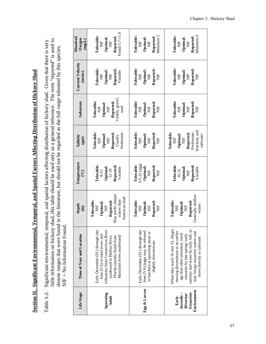Section II. Significant Environmental, Temporal, and Spatial Factors Affecting Distribution of Hickory Shad **Section II. Significant Environmental, Temporal, and Spatial Factors Affecting Distribution of Hickory Shad**

little information on hickory shad, this table should be used only as a general reference. The term "reported" is used to little information on hickory shad, this table should be used only as a general reference. The term "reported" is used to Significant environmental, temporal, and spatial factors affecting distribution of hickory shad. Given that there is very Table 3-2. Significant environmental, temporal, and spatial factors affecting distribution of hickory shad. Given that there is very denote ranges that were found in the literature, but should not be regarded as the full range tolerated by this species. denote ranges that were found in the literature, but should not be regarded as the full range tolerated by this species. NIF = No Information Found.  $NIF = No$  Information Found. Table 3-2.

| Dissolved<br>$Oxy$ gen<br>(mg/L)   | Found 5.7-11.8<br>Tolerable:<br>Reported:<br>Optimal:<br>ž<br>Ë                                                                                                                                      | Minimum 5<br>Tolerable:<br>Reported:<br>Optimal:<br>$\overline{E}$<br>$\frac{1}{2}$                                              | Minimum 4<br>Tolerable:<br>Reported:<br>Optimal:<br>$\overline{E}$<br>Ë                                                                                                                                                                        |
|------------------------------------|------------------------------------------------------------------------------------------------------------------------------------------------------------------------------------------------------|----------------------------------------------------------------------------------------------------------------------------------|------------------------------------------------------------------------------------------------------------------------------------------------------------------------------------------------------------------------------------------------|
| <b>Current Velocity</b><br>(m/sec) | Tolerable:<br>Reported:<br>Optimal:<br>Variable<br>Ë<br>Ž                                                                                                                                            | <b>Tolerable:</b><br>Reported:<br>Optimal:<br>$\frac{1}{2}$<br>$\frac{1}{2}$<br>È                                                | Tolerable:<br>Reported:<br>Optimal:<br>Ë<br>$\overline{H}$<br>Ë                                                                                                                                                                                |
| Substrate                          | Cobble, gravel,<br>Tolerable:<br>Reported:<br>Optimal:<br>Ž<br>sand<br>$\frac{1}{2}$                                                                                                                 | Tolerable:<br>Reported:<br>Optimal:<br>$\frac{1}{2}$<br>$\frac{1}{2}$<br>Ë                                                       | Tolerable:<br>Reported:<br>Optimal:<br>$\Xi$<br>Ë<br>Ë                                                                                                                                                                                         |
| Salinity<br>(ppt)                  | <b>Tolerable:</b><br>Reported:<br>freshwater<br>Optimal:<br>Usually<br>Ë<br>$\overline{H}$                                                                                                           | <b>Tolerable:</b><br>Reported:<br>Optimal:<br>$\frac{1}{2}$<br>$\frac{1}{2}$<br>Ë                                                | brackish, and<br>Freshwater,<br>Reported:<br>Tolerable:<br>Optimal:<br>saltwater<br>E<br>Z<br>Ë                                                                                                                                                |
| Temperature<br><u>ု</u>            | Tolerable:<br>Reported:<br>Optimal:<br>Variable<br>$12 - 19$<br>8-23                                                                                                                                 | $9.5 - 22$ (egg)<br>Tolerable:<br>Reported:<br>Optimal:<br>$\overline{H}$<br>Ë                                                   | Tolerable:<br>Reported:<br>Optimal:<br>Variable<br>16-31<br>$\frac{1}{2}$                                                                                                                                                                      |
| Depth<br>$\mathbf{m}$              | May prefer deeper<br>American shad<br>waters than<br>Tolerable:<br>Reported:<br>Optimal:<br>$\frac{1}{2}$<br>$\Xi$                                                                                   | Tolerable:<br>Reported:<br>Optimal:<br>$\overline{E}$<br>$rac{1}{2}$<br>Ë                                                        | Generally shallow<br>Tolerable:<br>Reported:<br>Optimal:<br>waters<br>Ë<br>Ž                                                                                                                                                                   |
| Time of Year and Location          | Early December (FL) through late<br>tribuatries from Connecticut River<br>June $(VA)$ in natal rivers and<br>southward to Halifax River,<br>Maryland rivers southward)<br>Florida (mostly found from | Early December (FL) through late<br>June $(VA)$ (eggs may be released<br>in batches) at spawning areas or<br>slightly downstream | When they reach 35 mm TL (begin<br>summer and ocean by early fall; or<br>moving downstream at an earlier<br>may forego estuarine waters and<br>age than other alosines); reach<br>estuaries by late spring/early<br>move directly to saltwater |
| Life Stage                         | Spawning<br>Adult                                                                                                                                                                                    | Egg & Larvae                                                                                                                     | Environment<br>Juvenile –<br>Estuarine<br>Riverine/<br>Early                                                                                                                                                                                   |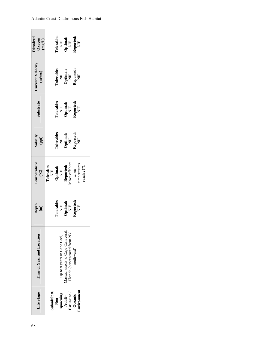| Life Stage  | Time of Year and Location                 | Depth $\binom{m}{n}$                                                                                                               | <b>Temperature</b><br>(°C)<br><b>Tolerable:</b><br><b>Tolerable:</b><br><b>Optimal:</b><br><b>NIF</b><br><b>NEP APDTE:</b><br><b>Reported:</b><br><b>Reported:</b><br><b>Reported:</b><br><b>Reported:</b><br><b>Reported:</b><br><b>Reported:</b><br><b>Reported:</b><br><b>Reported:</b><br><b>Reported:</b><br><b>Reported:</b><br><b>Reported</b> | Salinity<br>(ppt)                                                                                                                 | substrat                                                                                                                               | Jurrent Velocity<br>(m/sec)                                                                                                                   | Dissolved<br>Oxygen<br>$(mg/L)$                                                                                                        |
|-------------|-------------------------------------------|------------------------------------------------------------------------------------------------------------------------------------|-------------------------------------------------------------------------------------------------------------------------------------------------------------------------------------------------------------------------------------------------------------------------------------------------------------------------------------------------------|-----------------------------------------------------------------------------------------------------------------------------------|----------------------------------------------------------------------------------------------------------------------------------------|-----------------------------------------------------------------------------------------------------------------------------------------------|----------------------------------------------------------------------------------------------------------------------------------------|
| Subadult &  |                                           |                                                                                                                                    |                                                                                                                                                                                                                                                                                                                                                       |                                                                                                                                   |                                                                                                                                        |                                                                                                                                               |                                                                                                                                        |
| Non-        |                                           | $\begin{array}{ll} \text{Colerable:} \\ \text{NIF} \\ \text{Optimal:} \\ \text{NIF} \\ \text{Reported:} \\ \text{NIF} \end{array}$ |                                                                                                                                                                                                                                                                                                                                                       | $\begin{array}{ll} \text{Iolerable:} \\ \text{NIF} \\ \text{Optimal:} \\ \text{NP} \\ \text{Reported:} \\ \text{NIF} \end{array}$ | $\begin{array}{ll} \text{Coerable} \\ \text{NIF} \\ \text{Optimal:} \\ \text{NIF} \\ \text{NP} \\ \text{NP} \\ \text{NIF} \end{array}$ | $\begin{array}{c} {\rm{Cole}\textbf{rable}} \ {\rm{NIF}} \ {\rm{Optimal:}} \ {\rm{NIF}} \ {\rm{NIF}} \ {\rm{Reprd}} \ {\rm{NIF}} \end{array}$ | $\begin{array}{ll} \text{Iolerable} \\ \text{NIF} \\ \text{Optimal:} \\ \text{NP} \\ \text{NP} \\ \text{NP} \\ \text{NIF} \end{array}$ |
| guinwaqa    | Up to 8 years in Cape Cod,                |                                                                                                                                    |                                                                                                                                                                                                                                                                                                                                                       |                                                                                                                                   |                                                                                                                                        |                                                                                                                                               |                                                                                                                                        |
| Adult-      | Massachusetts to Cape Canaveral,          |                                                                                                                                    |                                                                                                                                                                                                                                                                                                                                                       |                                                                                                                                   |                                                                                                                                        |                                                                                                                                               |                                                                                                                                        |
| Estuarine   | <sup>7</sup> lorida (concentrated from NY |                                                                                                                                    |                                                                                                                                                                                                                                                                                                                                                       |                                                                                                                                   |                                                                                                                                        |                                                                                                                                               |                                                                                                                                        |
| Oceanic     | southward)                                |                                                                                                                                    |                                                                                                                                                                                                                                                                                                                                                       |                                                                                                                                   |                                                                                                                                        |                                                                                                                                               |                                                                                                                                        |
| Environment |                                           |                                                                                                                                    |                                                                                                                                                                                                                                                                                                                                                       |                                                                                                                                   |                                                                                                                                        |                                                                                                                                               |                                                                                                                                        |
|             |                                           |                                                                                                                                    |                                                                                                                                                                                                                                                                                                                                                       |                                                                                                                                   |                                                                                                                                        |                                                                                                                                               |                                                                                                                                        |
|             |                                           |                                                                                                                                    |                                                                                                                                                                                                                                                                                                                                                       |                                                                                                                                   |                                                                                                                                        |                                                                                                                                               |                                                                                                                                        |

# Atlantic Coast Diadromous Fish Habitat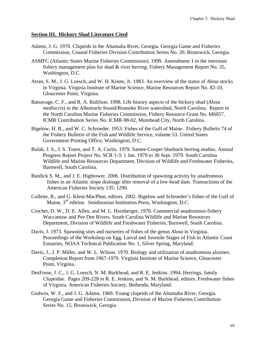## **Section III. Hickory Shad Literature Cited**

- Adams, J. G. 1970. Clupeids in the Altamaha River, Georgia. Georgia Game and Fisheries Commission, Coastal Fisheries Division Contribution Series No. 20, Brunswick, Georgia.
- ASMFC (Atlantic States Marine Fisheries Commission). 1999. Amendment 1 to the interstate fishery management plan for shad & river herring. Fishery Management Report No. 35, Washington, D.C.
- Atran, S. M., J. G. Loesch, and W. H. Kriete, Jr. 1983. An overview of the status of *Alosa* stocks in Virginia. Virginia Institute of Marine Science, Marine Resources Report No. 82-10, Gloucester Point, Virginia.
- Batsavage, C. F., and R. A. Rulifson. 1998. Life history aspects of the hickory shad (*Alosa mediocris*) in the Albemarle Sound/Roanoke River watershed, North Carolina. Report to the North Carolina Marine Fisheries Commission, Fishery Resource Grant No. M6057, ICMR Contribution Series No. ICMR-98-02, Morehead City, North Carolina.
- Bigelow, H. B., and W. C. Schroeder. 1953. Fishes of the Gulf of Maine. Fishery Bulletin 74 of the Fishery Bulletin of the Fish and Wildlife Service, volume 53. United States Government Printing Office, Washington, D.C.
- Bulak, J. S., J. S. Tuten, and T. A. Curtis. 1979. Santee-Cooper blueback herring studies. Annual Progress Report Project No. SCR 1-3: 1 Jan. 1979 to 30 Sept. 1979. South Carolina Wildlife and Marine Resources Department, Division of Wildlife and Freshwater Fisheries, Barnwell, South Carolina.
- Burdick S. M., and J. E. Hightower. 2006. Distribution of spawning activity by anadromous fishes in an Atlantic slope drainage after removal of a low-head dam. Transactions of the American Fisheries Society 135: 1290.
- Collette, B., and G. Klein-MacPhee, editors. 2002. Bigelow and Schroeder's fishes of the Gulf of Maine, 3rd edition. Smithsonian Institution Press, Washington, D.C.
- Crochet, D. W., D. E. Allen, and M. L. Hornberger. 1976. Commercial anadromous fishery Waccamaw and Pee Dee Rivers. South Carolina Wildlife and Marine Resources Department, Division of Wildlife and Freshwater Fisheries, Barnwell, South Carolina.
- Davis, J. 1973. Spawning sites and nurseries of fishes of the genus *Alosa* in Virginia. Proceedings of the Workshop on Egg, Larval and Juvenile Stages of Fish in Atlantic Coast Estuaries, NOAA Technical Publication No. 1, Silver Spring, Maryland.
- Davis, J., J. P. Miller, and W. L. Wilson. 1970. Biology and utilization of anadromous alosines. Completion Report from 1967-1970. Virginia Institute of Marine Science, Gloucester Point, Virginia.
- DesFosse, J. C., J. G. Loesch, N. M. Burkhead, and R. E. Jenkins. 1994. Herrings, family Clupeidae. Pages 209-228 *in* R. E. Jenkins, and N. M. Burkhead, editors. Freshwater fishes of Virginia. American Fisheries Society, Bethesda, Maryland.
- Godwin, W. F., and J. G. Adams. 1969. Young clupeids of the Altamaha River, Georgia. Georgia Game and Fisheries Commission, Division of Marine Fisheries Contribution Series No. 15, Brunswick, Georgia.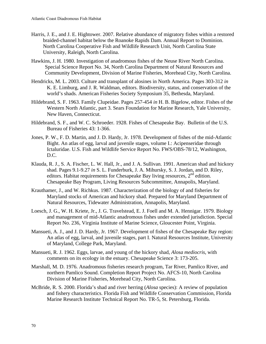- Harris, J. E., and J. E. Hightower. 2007. Relative abundance of migratory fishes within a restored braided-channel habitat below the Roanoke Rapids Dam. Annual Report to Dominion. North Carolina Cooperative Fish and Wildlife Research Unit, North Carolina State University, Raleigh, North Carolina.
- Hawkins, J. H. 1980. Investigation of anadromous fishes of the Neuse River North Carolina. Special Science Report No. 34, North Carolina Department of Natural Resources and Community Development, Division of Marine Fisheries, Morehead City, North Carolina.
- Hendricks, M. L. 2003. Culture and transplant of alosines in North America. Pages 303-312 *in* K. E. Limburg, and J. R. Waldman, editors. Biodiversity, status, and conservation of the world's shads. American Fisheries Society Symposium 35, Bethesda, Maryland.
- Hildebrand, S. F. 1963. Family Clupeidae. Pages 257-454 *in* H. B. Bigelow, editor. Fishes of the Western North Atlantic, part 3. Sears Foundation for Marine Research, Yale University, New Haven, Connecticut.
- Hildebrand, S. F., and W. C. Schroeder. 1928. Fishes of Chesapeake Bay. Bulletin of the U.S. Bureau of Fisheries 43: 1-366.
- Jones, P. W., F. D. Martin, and J. D. Hardy, Jr. 1978. Development of fishes of the mid-Atlantic Bight. An atlas of egg, larval and juvenile stages, volume I.: Acipenseridae through Ictaluridae. U.S. Fish and Wildlife Service Report No. FWS/OBS-78/12, Washington, D.C.
- Klauda, R. J., S. A. Fischer, L. W. Hall, Jr., and J. A. Sullivan. 1991. American shad and hickory shad. Pages 9.1-9.27 *in* S. L. Funderburk, J. A. Mihursky, S. J. Jordan, and D. Riley, editors. Habitat requirements for Chesapeake Bay living resources, 2<sup>nd</sup> edition. Chesapeake Bay Program, Living Resources Subcommittee, Annapolis, Maryland.
- Krauthamer, J., and W. Richkus. 1987. Characterization of the biology of and fisheries for Maryland stocks of American and hickory shad. Prepared for Maryland Department of Natural Resources, Tidewater Administration, Annapolis, Maryland.
- Loesch, J. G., W. H. Kriete, Jr., J. G. Travelstead, E. J. Foell and M. A. Hennigar. 1979. Biology and management of mid-Atlantic anadromous fishes under extended jurisdiction. Special Report No. 236, Virginia Institute of Marine Science, Gloucester Point, Virginia.
- Mansueti, A. J., and J. D. Hardy, Jr. 1967. Development of fishes of the Chesapeake Bay region: An atlas of egg, larval, and juvenile stages, part I. Natural Resources Institute, University of Maryland, College Park, Maryland.
- Mansueti, R. J. 1962. Eggs, larvae, and young of the hickory shad, *Alosa mediocris*, with comments on its ecology in the estuary. Chesapeake Science 3: 173-205.
- Marshall, M. D. 1976. Anadromous fisheries research program, Tar River, Pamlico River, and northern Pamlico Sound. Completion Report Project No. AFCS-10, North Carolina Division of Marine Fisheries, Morehead City, North Carolina.
- McBride, R. S. 2000. Florida's shad and river herring (*Alosa* species): A review of population and fishery characteristics. Florida Fish and Wildlife Conservation Commission, Florida Marine Research Institute Technical Report No. TR-5, St. Petersburg, Florida.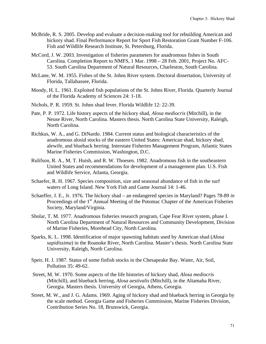- McBride, R. S. 2005. Develop and evaluate a decision-making tool for rebuilding American and hickory shad. Final Performance Report for Sport Fish Restoration Grant Number F-106. Fish and Wildlife Research Institute, St. Petersburg, Florida.
- McCord, J. W. 2003. Investigation of fisheries parameters for anadromous fishes in South Carolina. Completion Report to NMFS, 1 Mar. 1998 – 28 Feb. 2001, Project No. AFC-53. South Carolina Department of Natural Resources, Charleston, South Carolina.
- McLane, W. M. 1955. Fishes of the St. Johns River system. Doctoral dissertation, University of Florida, Tallahassee, Florida.
- Moody, H. L. 1961. Exploited fish populations of the St. Johns River, Florida. Quarterly Journal of the Florida Academy of Sciences 24: 1-18.
- Nichols, P. R. 1959. St. Johns shad fever. Florida Wildlife 12: 22-39.
- Pate, P. P. 1972. Life history aspects of the hickory shad, *Alosa mediocris* (Mitchill), in the Neuse River, North Carolina. Masters thesis. North Carolina State University, Raleigh, North Carolina.
- Richkus, W. A., and G. DiNardo. 1984. Current status and biological characteristics of the anadromous alosid stocks of the eastern United States: American shad, hickory shad, alewife, and blueback herring. Interstate Fisheries Management Program, Atlantic States Marine Fisheries Commission, Washington, D.C.
- Rulifson, R. A., M. T. Huish, and R. W. Thoesen. 1982. Anadromous fish in the southeastern United States and recommendations for development of a management plan. U.S. Fish and Wildlife Service, Atlanta, Georgia.
- Schaefer, R. H. 1967. Species composition, size and seasonal abundance of fish in the surf waters of Long Island. New York Fish and Game Journal 14: 1-46.
- Schaeffer, J. E., Jr. 1976. The hickory shad an endangered species in Maryland? Pages 78-89 *in* Proceedings of the 1<sup>st</sup> Annual Meeting of the Potomac Chapter of the American Fisheries Society, Maryland/Virginia.
- Sholar, T. M. 1977. Anadromous fisheries research program, Cape Fear River system, phase I. North Carolina Department of Natural Resources and Community Development, Division of Marine Fisheries, Morehead City, North Carolina.
- Sparks, K. L. 1998. Identification of major spawning habitats used by American shad (*Alosa sapidissima*) in the Roanoke River, North Carolina. Master's thesis. North Carolina State University, Raleigh, North Carolina.
- Speir, H. J. 1987. Status of some finfish stocks in the Chesapeake Bay. Water, Air, Soil, Pollution 35: 49-62.
- Street, M. W. 1970. Some aspects of the life histories of hickory shad, *Alosa mediocris* (Mitchill), and blueback herring, *Alosa aestivalis* (Mitchill), in the Altamaha River, Georgia. Masters thesis. University of Georgia, Athens, Georgia.
- Street, M. W., and J. G. Adams. 1969. Aging of hickory shad and blueback herring in Georgia by the scale method. Georgia Game and Fisheries Commission, Marine Fisheries Division, Contribution Series No. 18, Brunswick, Georgia.